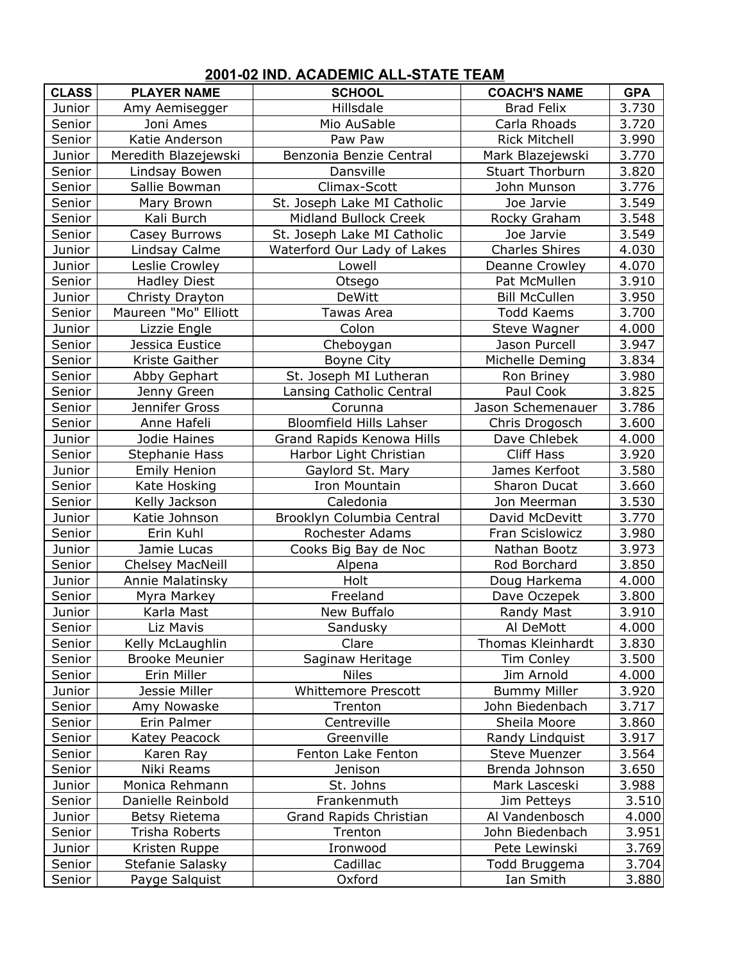## **2001-02 IND. ACADEMIC ALL-STATE TEAM**

| <b>CLASS</b> | <b>PLAYER NAME</b>    | <b>SCHOOL</b>                  | <b>COACH'S NAME</b>    | <b>GPA</b> |
|--------------|-----------------------|--------------------------------|------------------------|------------|
| Junior       | Amy Aemisegger        | Hillsdale                      | <b>Brad Felix</b>      | 3.730      |
| Senior       | Joni Ames             | Mio AuSable                    | Carla Rhoads           | 3.720      |
| Senior       | Katie Anderson        | Paw Paw                        | <b>Rick Mitchell</b>   | 3.990      |
| Junior       | Meredith Blazejewski  | Benzonia Benzie Central        | Mark Blazejewski       | 3.770      |
| Senior       | Lindsay Bowen         | Dansville                      | <b>Stuart Thorburn</b> | 3.820      |
| Senior       | Sallie Bowman         | Climax-Scott                   | John Munson            | 3.776      |
| Senior       | Mary Brown            | St. Joseph Lake MI Catholic    | Joe Jarvie             | 3.549      |
| Senior       | Kali Burch            | <b>Midland Bullock Creek</b>   | Rocky Graham           | 3.548      |
| Senior       | Casey Burrows         | St. Joseph Lake MI Catholic    | Joe Jarvie             | 3.549      |
| Junior       | Lindsay Calme         | Waterford Our Lady of Lakes    | <b>Charles Shires</b>  | 4.030      |
| Junior       | Leslie Crowley        | Lowell                         | Deanne Crowley         | 4.070      |
| Senior       | <b>Hadley Diest</b>   | Otsego                         | Pat McMullen           | 3.910      |
| Junior       | Christy Drayton       | <b>DeWitt</b>                  | <b>Bill McCullen</b>   | 3.950      |
| Senior       | Maureen "Mo" Elliott  | Tawas Area                     | <b>Todd Kaems</b>      | 3.700      |
| Junior       | Lizzie Engle          | Colon                          | Steve Wagner           | 4.000      |
| Senior       | Jessica Eustice       | Cheboygan                      | Jason Purcell          | 3.947      |
| Senior       | Kriste Gaither        | <b>Boyne City</b>              | Michelle Deming        | 3.834      |
| Senior       | Abby Gephart          | St. Joseph MI Lutheran         | Ron Briney             | 3.980      |
| Senior       | Jenny Green           | Lansing Catholic Central       | Paul Cook              | 3.825      |
| Senior       | Jennifer Gross        | Corunna                        | Jason Schemenauer      | 3.786      |
| Senior       | Anne Hafeli           | <b>Bloomfield Hills Lahser</b> | Chris Drogosch         | 3.600      |
| Junior       | Jodie Haines          | Grand Rapids Kenowa Hills      | Dave Chlebek           | 4.000      |
| Senior       | <b>Stephanie Hass</b> | Harbor Light Christian         | <b>Cliff Hass</b>      | 3.920      |
| Junior       | <b>Emily Henion</b>   | Gaylord St. Mary               | James Kerfoot          | 3.580      |
| Senior       | Kate Hosking          | Iron Mountain                  | Sharon Ducat           | 3.660      |
| Senior       | Kelly Jackson         | Caledonia                      | Jon Meerman            | 3.530      |
| Junior       | Katie Johnson         | Brooklyn Columbia Central      | David McDevitt         | 3.770      |
| Senior       | Erin Kuhl             | Rochester Adams                | Fran Scislowicz        | 3.980      |
| Junior       | Jamie Lucas           | Cooks Big Bay de Noc           | Nathan Bootz           | 3.973      |
| Senior       | Chelsey MacNeill      | Alpena                         | Rod Borchard           | 3.850      |
| Junior       | Annie Malatinsky      | Holt                           | Doug Harkema           | 4.000      |
| Senior       | Myra Markey           | Freeland                       | Dave Oczepek           | 3.800      |
| Junior       | Karla Mast            | New Buffalo                    | Randy Mast             | 3.910      |
| Senior       | Liz Mavis             | Sandusky                       | Al DeMott              | 4.000      |
| Senior       | Kelly McLaughlin      | Clare                          | Thomas Kleinhardt      | 3.830      |
| Senior       | <b>Brooke Meunier</b> | Saginaw Heritage               | <b>Tim Conley</b>      | 3.500      |
| Senior       | Erin Miller           | <b>Niles</b>                   | Jim Arnold             | 4.000      |
| Junior       | Jessie Miller         | <b>Whittemore Prescott</b>     | <b>Bummy Miller</b>    | 3.920      |
| Senior       | Amy Nowaske           | Trenton                        | John Biedenbach        | 3.717      |
| Senior       | Erin Palmer           | Centreville                    | Sheila Moore           | 3.860      |
| Senior       | Katey Peacock         | Greenville                     | Randy Lindquist        | 3.917      |
| Senior       | Karen Ray             | Fenton Lake Fenton             | <b>Steve Muenzer</b>   | 3.564      |
| Senior       | Niki Reams            | Jenison                        | Brenda Johnson         | 3.650      |
| Junior       | Monica Rehmann        | St. Johns                      | Mark Lasceski          | 3.988      |
| Senior       | Danielle Reinbold     | Frankenmuth                    | Jim Petteys            | 3.510      |
| Junior       | Betsy Rietema         | Grand Rapids Christian         | Al Vandenbosch         | 4.000      |
| Senior       | Trisha Roberts        | Trenton                        | John Biedenbach        | 3.951      |
| Junior       | Kristen Ruppe         | Ironwood                       | Pete Lewinski          | 3.769      |
| Senior       | Stefanie Salasky      | Cadillac                       | Todd Bruggema          | 3.704      |
| Senior       | Payge Salquist        | Oxford                         | Ian Smith              | 3.880      |